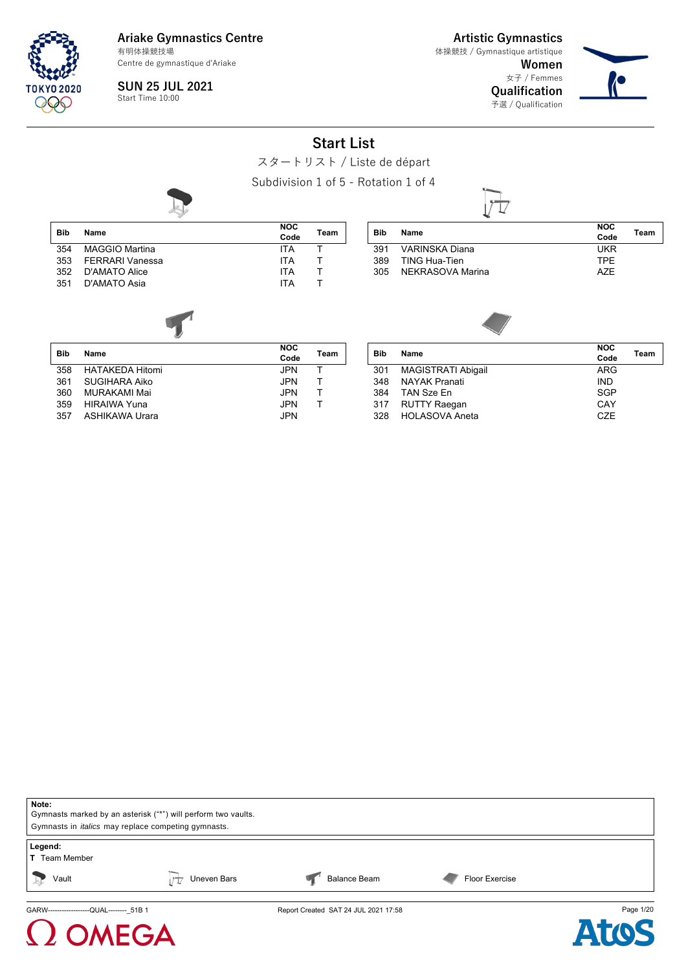

**Ariake Gymnastics Centre** 有明体操競技場

Centre de gymnastique d'Ariake

**SUN 25 JUL 2021** Start Time 10:00

**Artistic Gymnastics** 体操競技 / Gymnastique artistique

 $\Box$ 

**Women** 女子 / Femmes **Qualification** 予選 / Qualification



#### **Start List**

スタートリスト / Liste de départ

Subdivision 1 of 5 - Rotation 1 of 4

|            | $\frac{1}{2}$          |                    |      |            | ↵                         |                    |      |
|------------|------------------------|--------------------|------|------------|---------------------------|--------------------|------|
| <b>Bib</b> | Name                   | <b>NOC</b><br>Code | Team | <b>Bib</b> | <b>Name</b>               | <b>NOC</b><br>Code | Team |
| 354        | <b>MAGGIO Martina</b>  | <b>ITA</b>         | т    | 391        | <b>VARINSKA Diana</b>     | <b>UKR</b>         |      |
| 353        | <b>FERRARI Vanessa</b> | <b>ITA</b>         |      | 389        | <b>TING Hua-Tien</b>      | <b>TPE</b>         |      |
| 352        | <b>D'AMATO Alice</b>   | <b>ITA</b>         |      | 305        | NEKRASOVA Marina          | <b>AZE</b>         |      |
| 351        | D'AMATO Asia           | <b>ITA</b>         | т    |            |                           |                    |      |
| <b>Bib</b> | Name                   | <b>NOC</b><br>Code | Team | Bib        | <b>Name</b>               | <b>NOC</b><br>Code | Team |
| 358        | <b>HATAKEDA Hitomi</b> | JPN                | т    | 301        | <b>MAGISTRATI Abigail</b> | <b>ARG</b>         |      |
| 361        | <b>SUGIHARA Aiko</b>   | <b>JPN</b>         |      | 348        | <b>NAYAK Pranati</b>      | <b>IND</b>         |      |
| 360        | MURAKAMI Mai           | <b>JPN</b>         |      | 384        | TAN Sze En                | <b>SGP</b>         |      |
| 359        | <b>HIRAIWA Yuna</b>    | JPN                |      | 317        | <b>RUTTY Raegan</b>       | CAY                |      |
| 357        | <b>ASHIKAWA Urara</b>  | <b>JPN</b>         |      | 328        | <b>HOLASOVA Aneta</b>     | <b>CZE</b>         |      |
|            |                        |                    |      |            |                           |                    |      |



## **MEGA**



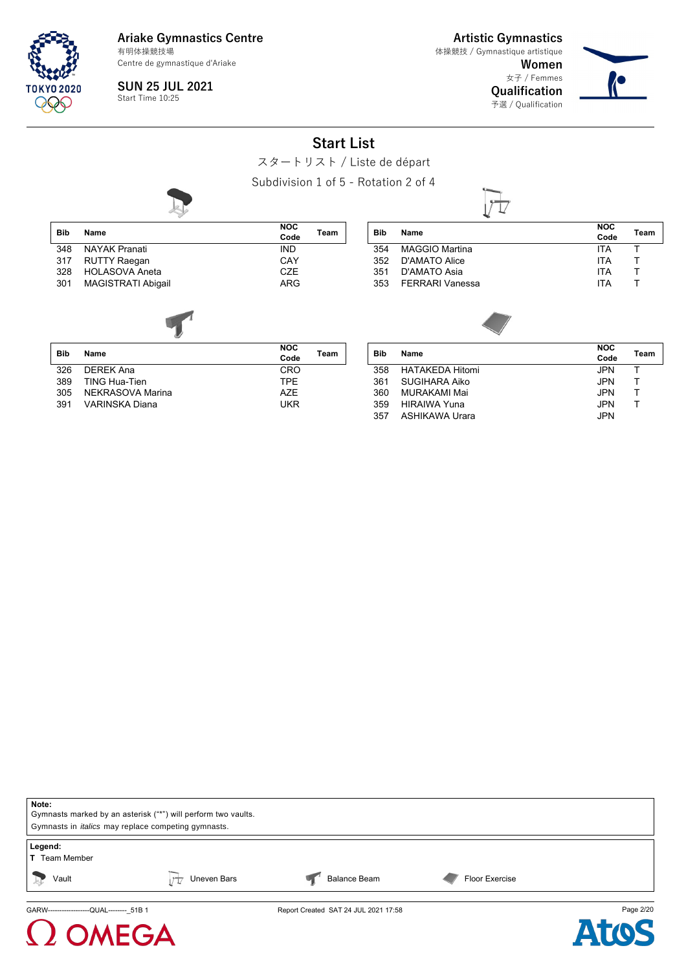

**Artistic Gymnastics** 体操競技 / Gymnastique artistique

**Women** 女子 / Femmes **Qualification**

予選 / Qualification



**SUN 25 JUL 2021** Start Time 10:25

**Start List**

スタートリスト / Liste de départ

Subdivision 1 of 5 - Rotation 2 of 4



| Note:                                                         |                                                            |                                      |                |           |  |  |  |  |
|---------------------------------------------------------------|------------------------------------------------------------|--------------------------------------|----------------|-----------|--|--|--|--|
| Gymnasts marked by an asterisk ("*") will perform two vaults. |                                                            |                                      |                |           |  |  |  |  |
|                                                               | Gymnasts in <i>italics</i> may replace competing gymnasts. |                                      |                |           |  |  |  |  |
|                                                               |                                                            |                                      |                |           |  |  |  |  |
| Legend:                                                       |                                                            |                                      |                |           |  |  |  |  |
| <b>T</b> Team Member                                          |                                                            |                                      |                |           |  |  |  |  |
| Vault<br>$\frac{1}{2}$                                        | Uneven Bars                                                | <b>Balance Beam</b>                  | Floor Exercise |           |  |  |  |  |
| GARW-------------------QUAL-------- 51B 1                     |                                                            | Report Created SAT 24 JUL 2021 17:58 |                | Page 2/20 |  |  |  |  |



 $\Omega$  OMEGA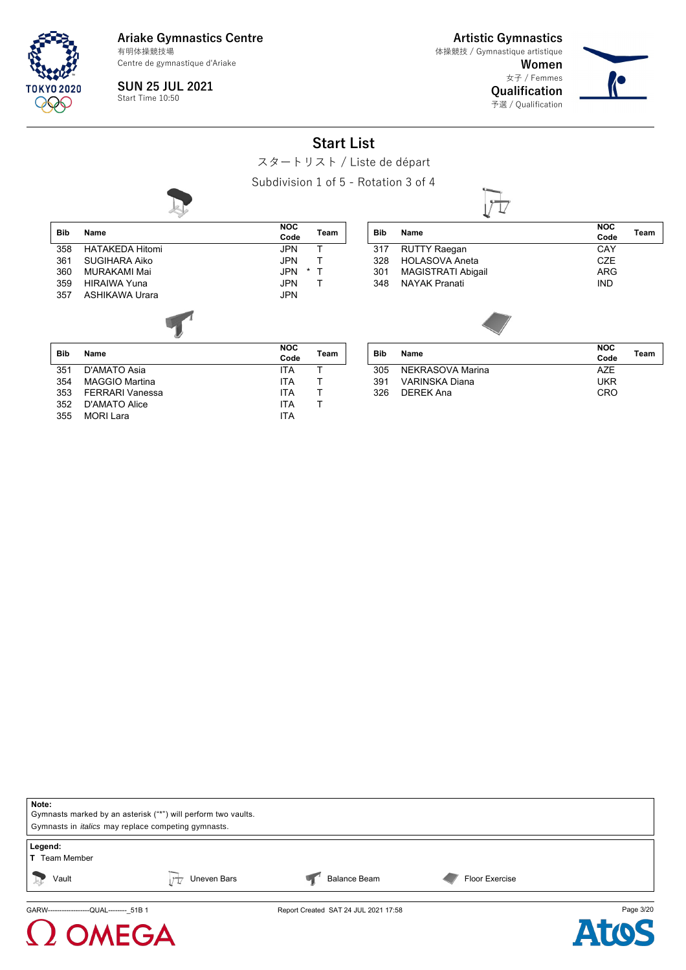

**Artistic Gymnastics** 体操競技 / Gymnastique artistique

> **Women** 女子 / Femmes **Qualification**

> > 予選 / Qualification



**SUN 25 JUL 2021** Start Time 10:50

**Start List**

スタートリスト / Liste de départ

Subdivision 1 of 5 - Rotation 3 of 4





### **NEGA**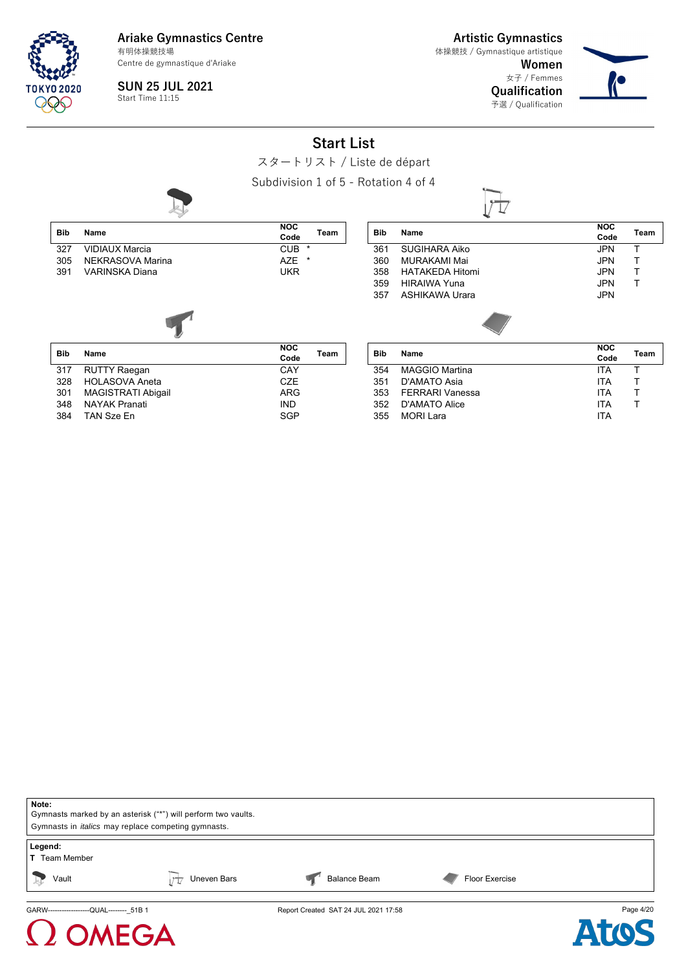

 $\Omega$  OMEGA

**Ariake Gymnastics Centre** Centre de gymnastique d'Ariake 有明体操競技場

**Artistic Gymnastics** 体操競技 / Gymnastique artistique

> **Women** 女子 / Femmes

**Qualification** 予選 / Qualification



**SUN 25 JUL 2021** Start Time 11:15

**Start List**

スタートリスト / Liste de départ

Subdivision 1 of 5 - Rotation 4 of 4



| Note:                                                         |             |                                      |                       |           |
|---------------------------------------------------------------|-------------|--------------------------------------|-----------------------|-----------|
| Gymnasts marked by an asterisk ("*") will perform two vaults. |             |                                      |                       |           |
| Gymnasts in <i>italics</i> may replace competing gymnasts.    |             |                                      |                       |           |
| Legend:<br><b>T</b> Team Member                               |             |                                      |                       |           |
| Vault<br>$\rightsquigarrow$                                   | Uneven Bars | <b>Balance Beam</b>                  | <b>Floor Exercise</b> |           |
| GARW-------------------QUAL-------- 51B 1                     |             | Report Created SAT 24 JUL 2021 17:58 |                       | Page 4/20 |

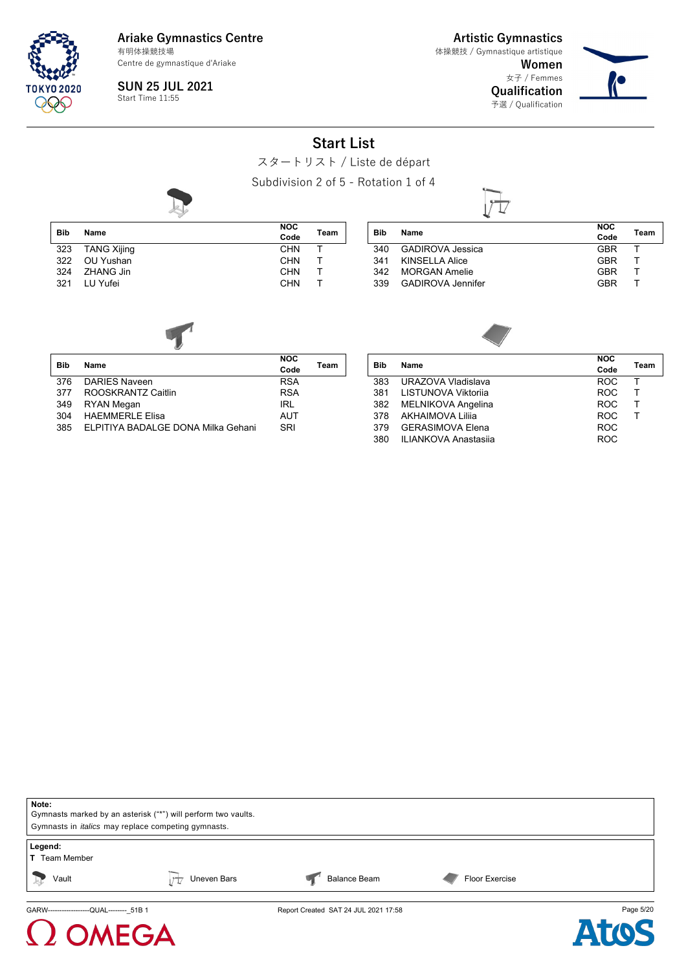**TOKYO 2020** 995

**Ariake Gymnastics Centre** Centre de gymnastique d'Ariake 有明体操競技場

**SUN 25 JUL 2021** Start Time 11:55

**Artistic Gymnastics** 体操競技 / Gymnastique artistique

> **Women** 女子 / Femmes **Qualification**

予選 / Qualification



**Start List**

スタートリスト / Liste de départ

Subdivision 2 of 5 - Rotation 1 of 4



|     |                    | <u>UUNU II UIU II E UI I</u> |      |
|-----|--------------------|------------------------------|------|
| Bib | Name               | <b>NOC</b><br>Code           | Team |
| 323 | <b>TANG Xijing</b> | <b>CHN</b>                   |      |
| 322 | OU Yushan          | <b>CHN</b>                   |      |
| 324 | ZHANG Jin          | <b>CHN</b>                   |      |
| 321 | LU Yufei           | <b>CHN</b>                   |      |

| Bib | Name                     | <b>NOC</b><br>Code | Team |
|-----|--------------------------|--------------------|------|
| 340 | <b>GADIROVA Jessica</b>  | <b>GBR</b>         |      |
|     | 341 KINSELLA Alice       | GBR                |      |
| 342 | <b>MORGAN Amelie</b>     | GBR                |      |
| 339 | <b>GADIROVA Jennifer</b> | <b>GBR</b>         |      |
|     |                          |                    |      |



| <b>Bib</b> | Name                               | <b>NOC</b><br>Code | Team |
|------------|------------------------------------|--------------------|------|
| 376        | DARIES Naveen                      | <b>RSA</b>         |      |
| 377        | ROOSKRANTZ Caitlin                 | <b>RSA</b>         |      |
| 349        | RYAN Megan                         | IRL                |      |
| 304        | <b>HAFMMFRI F Flisa</b>            | <b>AUT</b>         |      |
| 385        | ELPITIYA BADALGE DONA Milka Gehani | SRI                |      |

| Bib | Name                        | <b>NOC</b> | Team |  |
|-----|-----------------------------|------------|------|--|
|     |                             | Code       |      |  |
| 383 | URAZOVA Vladislava          | <b>ROC</b> |      |  |
| 381 | LISTUNOVA Viktorija         | <b>ROC</b> |      |  |
| 382 | <b>MELNIKOVA Angelina</b>   | <b>ROC</b> |      |  |
| 378 | <b>AKHAIMOVA Lilija</b>     | <b>ROC</b> |      |  |
| 379 | <b>GERASIMOVA Elena</b>     | <b>ROC</b> |      |  |
| 380 | <b>ILIANKOVA Anastasija</b> | <b>ROC</b> |      |  |
|     |                             |            |      |  |





### **MEGA**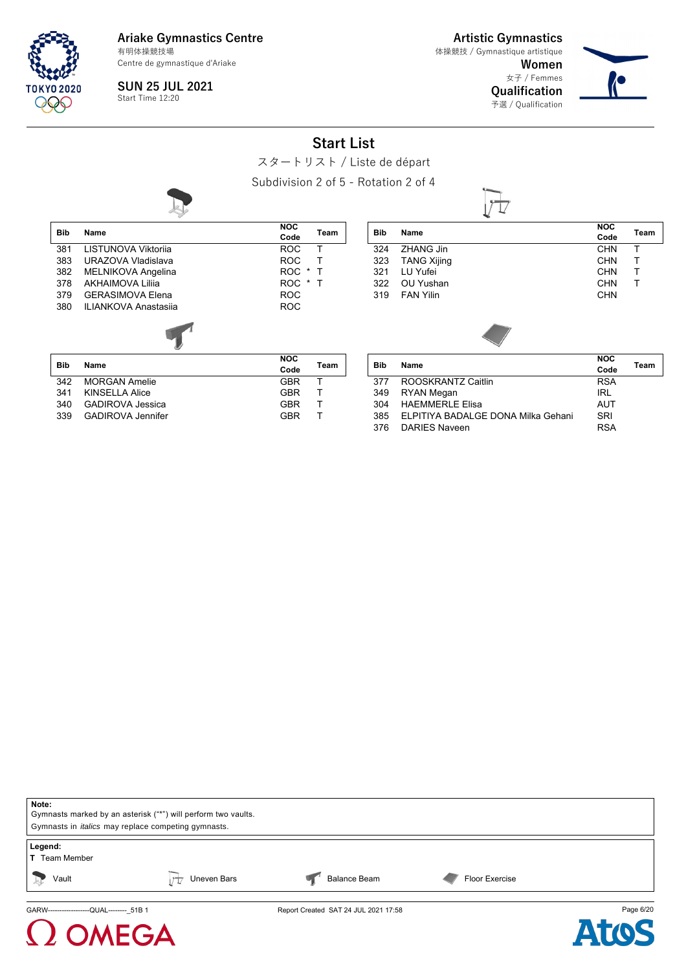

**Artistic Gymnastics** 体操競技 / Gymnastique artistique

**Women** 女子 / Femmes **Qualification**

T

予選 / Qualification



**NOC**

**Code Team**<br>
CHN **T** 

**SUN 25 JUL 2021** Start Time 12:20

**Start List**

スタートリスト / Liste de départ

Subdivision 2 of 5 - Rotation 2 of 4

| <b>Bib</b> | Name                        | <b>NOC</b><br>Code    | Team | Bib        | Name             |
|------------|-----------------------------|-----------------------|------|------------|------------------|
| 381        | LISTUNOVA Viktorija         | <b>ROC</b>            | т    | 324        | <b>ZHAN</b>      |
| 383        | URAZOVA Vladislava          | <b>ROC</b>            | т    | 323        | TANG             |
| 382        | <b>MELNIKOVA Angelina</b>   | ROC *                 | т    | 321        | LU Yı            |
| 378        | <b>AKHAIMOVA Lilija</b>     | <b>ROC</b><br>$\star$ | Т    | 322        | OU Y             |
| 379        | <b>GERASIMOVA Elena</b>     | <b>ROC</b>            |      | 319        | FAN <sup>'</sup> |
| 380        | <b>ILIANKOVA Anastasija</b> | <b>ROC</b>            |      |            |                  |
|            |                             |                       |      |            |                  |
| <b>Bib</b> | Name                        | <b>NOC</b><br>Code    | Team | <b>Bib</b> | <b>Name</b>      |
| 342        | <b>MORGAN Amelie</b>        | GBR                   | т    | 377        | ROO:             |
| 341        | <b>KINSELLA Alice</b>       | GBR                   | т    | 349        | <b>RYAN</b>      |
| 340        | <b>GADIROVA</b> Jessica     | GBR                   | т    | 304        | <b>HAEN</b>      |
| 339        | <b>GADIROVA Jennifer</b>    | <b>GBR</b>            |      | 385        | <b>ELPI</b>      |

| 324 | ZHANG Jin          |  | <b>CHN</b> |   |  |
|-----|--------------------|--|------------|---|--|
| 323 | <b>TANG Xijing</b> |  | <b>CHN</b> | т |  |
| 321 | LU Yufei           |  | <b>CHN</b> | т |  |
| 322 | OU Yushan          |  | <b>CHN</b> | Т |  |
| 319 | <b>FAN Yilin</b>   |  | <b>CHN</b> |   |  |
|     |                    |  |            |   |  |
|     |                    |  |            |   |  |

|                    | <b>NOC</b>                                                                   |      |
|--------------------|------------------------------------------------------------------------------|------|
|                    | Code                                                                         | Team |
| ROOSKRANTZ Caitlin | <b>RSA</b>                                                                   |      |
|                    | IRL                                                                          |      |
|                    | <b>AUT</b>                                                                   |      |
|                    | SRI                                                                          |      |
| DARIES Naveen      | <b>RSA</b>                                                                   |      |
|                    | Name<br>RYAN Megan<br>HAFMMFRI F Flisa<br>ELPITIYA BADALGE DONA Milka Gehani |      |

| Note:<br>Gymnasts marked by an asterisk ("*") will perform two vaults.<br>Gymnasts in <i>italics</i> may replace competing gymnasts. |             |                                      |                |           |  |  |  |
|--------------------------------------------------------------------------------------------------------------------------------------|-------------|--------------------------------------|----------------|-----------|--|--|--|
| Legend:<br><b>T</b> Team Member                                                                                                      |             |                                      |                |           |  |  |  |
| Vault<br>$\frac{1}{2}$                                                                                                               | Uneven Bars | <b>Balance Beam</b>                  | Floor Exercise |           |  |  |  |
| GARW--------------------QUAL-------- 51B 1                                                                                           |             | Report Created SAT 24 JUL 2021 17:58 |                | Page 6/20 |  |  |  |

# $\Omega$  OMEGA

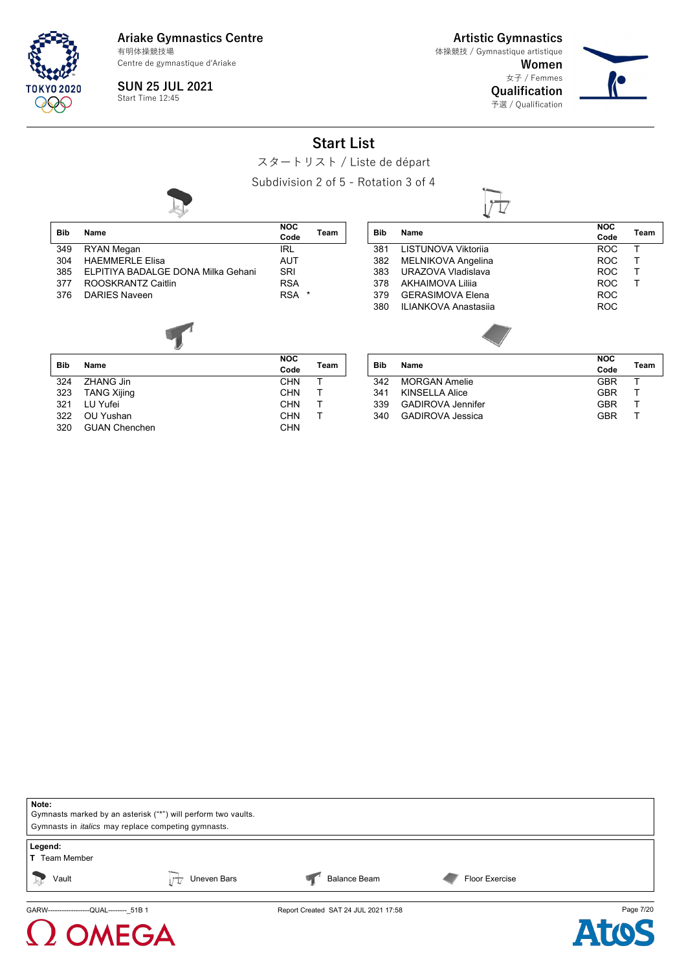

**Artistic Gymnastics** 体操競技 / Gymnastique artistique

**Women** 女子 / Femmes

 $|\tau|$ 

**Qualification** 予選 / Qualification



### **Start List**

スタートリスト / Liste de départ

Subdivision 2 of 5 - Rotation 3 of 4



**SUN 25 JUL 2021** Start Time 12:45

|            |                                    |                    |      |            | ́∾                          |                    |      |
|------------|------------------------------------|--------------------|------|------------|-----------------------------|--------------------|------|
| <b>Bib</b> | Name                               | <b>NOC</b><br>Code | Team | <b>Bib</b> | Name                        | <b>NOC</b><br>Code | Team |
| 349        | RYAN Megan                         | <b>IRL</b>         |      | 381        | LISTUNOVA Viktorija         | <b>ROC</b>         |      |
| 304        | <b>HAEMMERLE Elisa</b>             | <b>AUT</b>         |      | 382        | MELNIKOVA Angelina          | <b>ROC</b>         |      |
| 385        | ELPITIYA BADALGE DONA Milka Gehani | SRI                |      | 383        | URAZOVA Vladislava          | <b>ROC</b>         |      |
| 377        | ROOSKRANTZ Caitlin                 | <b>RSA</b>         |      | 378        | AKHAIMOVA Lilija            | <b>ROC</b>         |      |
| 376        | DARIES Naveen                      | RSA <sup>*</sup>   |      | 379        | <b>GERASIMOVA Elena</b>     | <b>ROC</b>         |      |
|            |                                    |                    |      | 380        | <b>ILIANKOVA Anastasija</b> | <b>ROC</b>         |      |
|            |                                    |                    |      |            |                             |                    |      |
| <b>Bib</b> | Name                               | <b>NOC</b><br>Code | Team | <b>Bib</b> | Name                        | <b>NOC</b><br>Code | Team |

|     |                      | voue       |  |
|-----|----------------------|------------|--|
| 324 | ZHANG Jin            | <b>CHN</b> |  |
|     | 323 TANG Xijing      | <b>CHN</b> |  |
| 321 | LU Yufei             | <b>CHN</b> |  |
|     | 322 OU Yushan        | <b>CHN</b> |  |
| 320 | <b>GUAN Chenchen</b> | <b>CHN</b> |  |

| <b>Bib</b> | Name                     | <b>NOC</b> | Team |
|------------|--------------------------|------------|------|
|            |                          | Code       |      |
| 342        | <b>MORGAN Amelie</b>     | <b>GBR</b> |      |
| 341        | KINSELLA Alice           | <b>GBR</b> |      |
| 339        | <b>GADIROVA Jennifer</b> | <b>GBR</b> |      |
| 340        | <b>GADIROVA Jessica</b>  | GBR        |      |





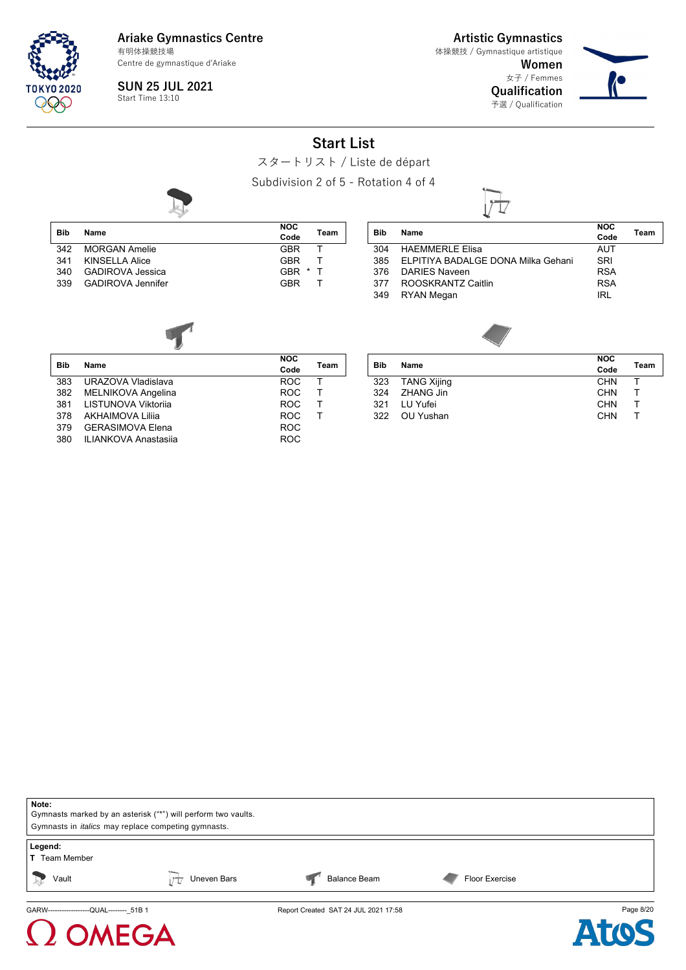

**Ariake Gymnastics Centre** 有明体操競技場

Centre de gymnastique d'Ariake

**SUN 25 JUL 2021** Start Time 13:10

**Artistic Gymnastics** 体操競技 / Gymnastique artistique

> **Women** 女子 / Femmes **Qualification**

予選 / Qualification



### **Start List**

スタートリスト / Liste de départ

Subdivision 2 of 5 - Rotation 4 of 4

L



|     |                          | <b>NOC</b> |   |
|-----|--------------------------|------------|---|
| Bib | Name                     | Code       | т |
|     | 342 MORGAN Amelie        | <b>GBR</b> |   |
| 341 | KINSELLA Alice           | <b>GBR</b> |   |
| 340 | GADIROVA Jessica         | GBR *      | ா |
| 339 | <b>GADIROVA Jennifer</b> | <b>GBR</b> |   |
|     |                          |            |   |

| NOC<br>Code |   | Team |
|-------------|---|------|
| GBR         |   | f    |
| GBR         |   | т    |
| GBR         | * | л.   |
| GBR         |   |      |

| Name                               | <b>NOC</b><br>Code | Team |
|------------------------------------|--------------------|------|
| <b>HAEMMERLE Elisa</b>             | <b>AUT</b>         |      |
| ELPITIYA BADALGE DONA Milka Gehani | SRI                |      |
| DARIES Naveen                      | <b>RSA</b>         |      |
| ROOSKRANTZ Caitlin                 | <b>RSA</b>         |      |
| <b>RYAN Megan</b>                  | <b>IRL</b>         |      |
|                                    |                    |      |



| Bib | Name                        | <b>NOC</b> | Team |
|-----|-----------------------------|------------|------|
|     |                             | Code       |      |
| 383 | URAZOVA Vladislava          | <b>ROC</b> | т    |
| 382 | MELNIKOVA Angelina          | <b>ROC</b> | т    |
| 381 | LISTUNOVA Viktorija         | <b>ROC</b> | т    |
| 378 | <b>AKHAIMOVA Lilija</b>     | <b>ROC</b> |      |
| 379 | <b>GERASIMOVA Elena</b>     | <b>ROC</b> |      |
| 380 | <b>ILIANKOVA Anastasija</b> | <b>ROC</b> |      |
|     |                             |            |      |

**AEGA** 

| Name        | <b>NOC</b> | Team |
|-------------|------------|------|
|             |            |      |
| TANG Xijing | <b>CHN</b> |      |
| ZHANG Jin   | <b>CHN</b> |      |
| LU Yufei    | <b>CHN</b> |      |
| OU Yushan   | <b>CHN</b> |      |
|             |            | Code |



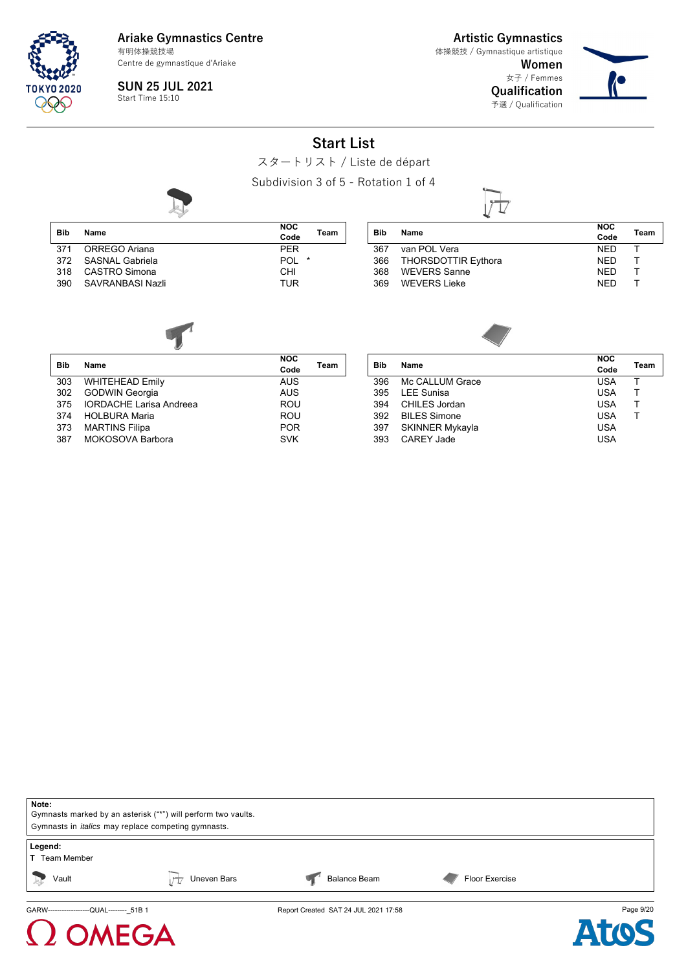

**Ariake Gymnastics Centre** 有明体操競技場

Centre de gymnastique d'Ariake

**SUN 25 JUL 2021** Start Time 15:10

**Artistic Gymnastics** 体操競技 / Gymnastique artistique

> **Women** 女子 / Femmes **Qualification**

予選 / Qualification



#### **Start List**

スタートリスト / Liste de départ

Subdivision 3 of 5 - Rotation 1 of 4

|            |                     | NOC        |         |      |
|------------|---------------------|------------|---------|------|
| <b>Bib</b> | Name                |            |         | Team |
|            |                     | Code       |         |      |
|            | 371 ORREGO Ariana   | <b>PFR</b> |         |      |
|            | 372 SASNAL Gabriela | POL        | $\star$ |      |
|            | 318 CASTRO Simona   | CHI        |         |      |
| 390        | SAVRANBASI Nazli    | <b>TUR</b> |         |      |

| Bib | Name                    | <b>NOC</b><br>Code | Team |
|-----|-------------------------|--------------------|------|
| 367 | van POL Vera            | <b>NFD</b>         |      |
|     | 366 THORSDOTTIR Eythora | NFD.               |      |
| 368 | WEVERS Sanne            | <b>NFD</b>         |      |
| 369 | <b>WEVERS Lieke</b>     | <b>NFD</b>         |      |
|     |                         |                    |      |



| <b>Bib</b> | Name                        | <b>NOC</b> | Team |
|------------|-----------------------------|------------|------|
|            |                             | Code       |      |
| 303        | <b>WHITEHEAD Emily</b>      | <b>AUS</b> |      |
| 302        | GODWIN Georgia              | <b>AUS</b> |      |
|            | 375 IORDACHE Larisa Andreea | <b>ROU</b> |      |
| 374        | HOLBURA Maria               | <b>ROU</b> |      |
| 373        | <b>MARTINS Filipa</b>       | <b>POR</b> |      |
|            | 387 MOKOSOVA Barbora        | <b>SVK</b> |      |
|            |                             |            |      |

| <b>Bib</b> | Name                   | <b>NOC</b><br>Code | Team |
|------------|------------------------|--------------------|------|
| 396        | Mc CALLUM Grace        | <b>USA</b>         |      |
| 395        | <b>LEE Sunisa</b>      | <b>USA</b>         |      |
| 394        | CHILES Jordan          | <b>USA</b>         | т    |
| 392        | <b>BILES Simone</b>    | <b>USA</b>         |      |
| 397        | <b>SKINNER Mykayla</b> | <b>USA</b>         |      |
| 393        | CAREY Jade             | <b>USA</b>         |      |
|            |                        |                    |      |



### **AEGA**

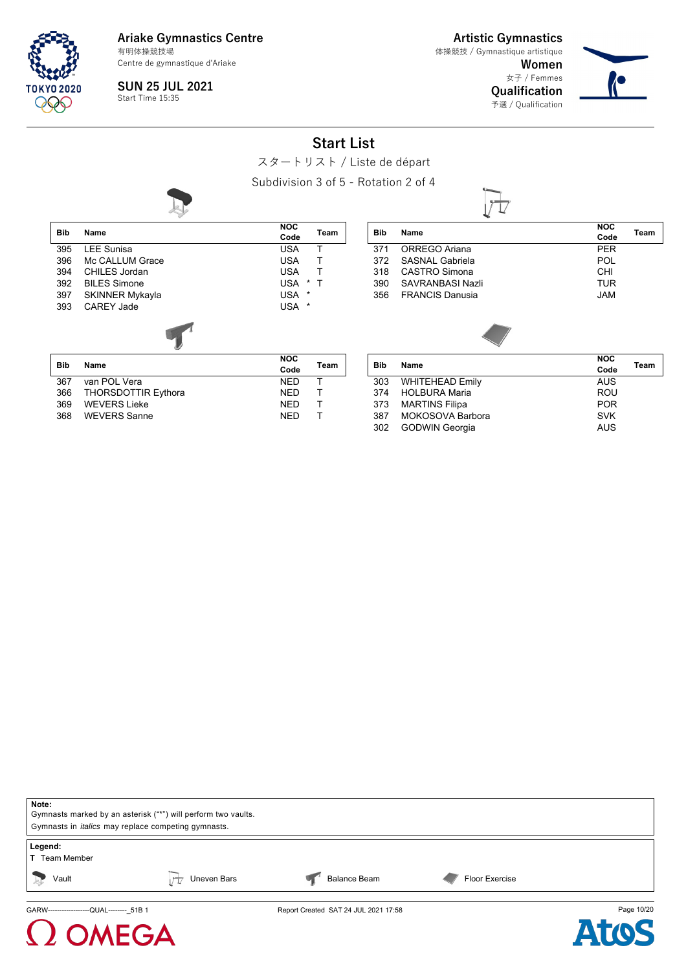**TOKYO 2020** 999

**Ariake Gymnastics Centre** Centre de gymnastique d'Ariake 有明体操競技場

**Artistic Gymnastics** 体操競技 / Gymnastique artistique

> **Women** 女子 / Femmes **Qualification**

> > 予選 / Qualification



**SUN 25 JUL 2021** Start Time 15:35

**Start List**

スタートリスト / Liste de départ

Subdivision 3 of 5 - Rotation 2 of 4



| <b>Bib</b> | Name                | <b>NOC</b><br>Code | Team |
|------------|---------------------|--------------------|------|
| 395        | <b>LEE Sunisa</b>   | <b>USA</b>         | т    |
| 396        | Mc CALLUM Grace     | <b>USA</b>         | т    |
| 394        | CHILES Jordan       | <b>USA</b>         | т    |
| 392        | <b>BILES Simone</b> | <b>USA</b><br>*    | Т    |
| 397        | SKINNER Mykayla     | <b>USA</b><br>*    |      |
| 393        | CARFY Jade          | <b>USA</b><br>*    |      |
|            |                     |                    |      |
| <b>Bib</b> | Name                | <b>NOC</b><br>Code | Team |

367 van POL Vera NED T 366 THORSDOTTIR Eythora NED T

368 WEVERS Sanne NED T

**WEVERS Lieke** 

|     | Name                    | <b>NOC</b> |      |
|-----|-------------------------|------------|------|
| Bib |                         | Code       | Team |
| 371 | ORREGO Ariana           | <b>PER</b> |      |
| 372 | SASNAL Gabriela         | <b>POL</b> |      |
| 318 | <b>CASTRO Simona</b>    | CHI        |      |
| 390 | <b>SAVRANBASI Nazli</b> | <b>TUR</b> |      |
| 356 | <b>FRANCIS Danusia</b>  | <b>JAM</b> |      |
|     |                         |            |      |
|     |                         |            |      |



| <b>Bib</b> | Name                    | <b>NOC</b> | Team |
|------------|-------------------------|------------|------|
|            |                         | Code       |      |
| 303        | WHITEHEAD Emily         | <b>AUS</b> |      |
| 374        | HOLBURA Maria           | <b>ROU</b> |      |
|            | 373 MARTINS Filipa      | <b>POR</b> |      |
| 387        | <b>MOKOSOVA Barbora</b> | <b>SVK</b> |      |
| 302        | GODWIN Georgia          | <b>AUS</b> |      |
|            |                         |            |      |





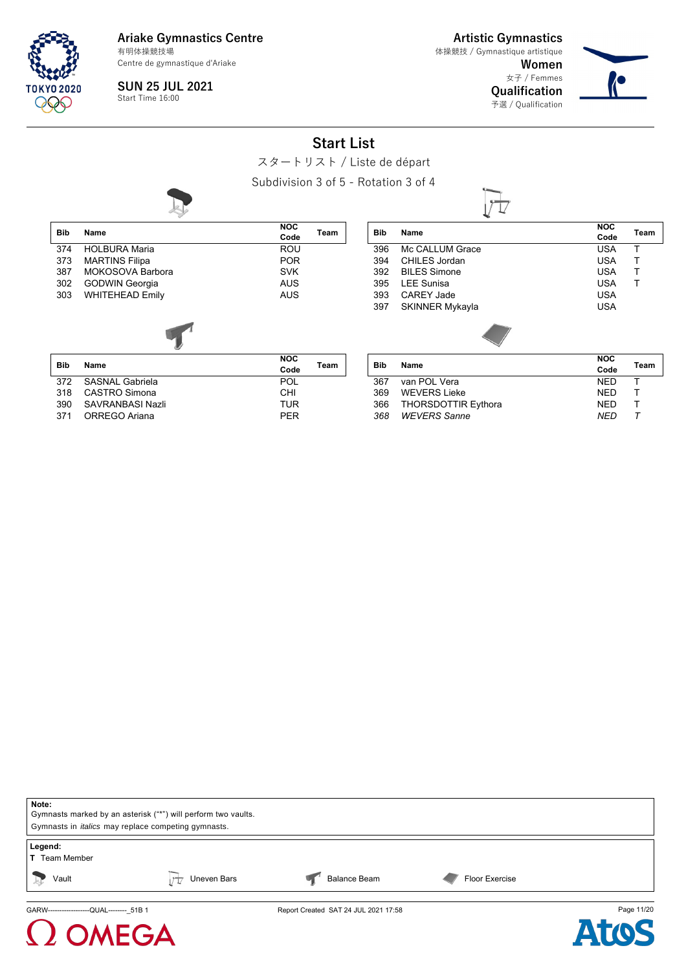

**Artistic Gymnastics**

**Women** 女子 / Femmes 体操競技 / Gymnastique artistique

> **Qualification** 予選 / Qualification



**NOC Code Team**

**SUN 25 JUL 2021** Start Time 16:00

**Start List**

スタートリスト / Liste de départ

Subdivision 3 of 5 - Rotation 3 of 4

**Bib Name**

CAREY Jade



| <b>Bib</b> | <b>Name</b>            | <b>NOC</b><br>Code | Team |
|------------|------------------------|--------------------|------|
| 374        | <b>HOLBURA Maria</b>   | ROU                |      |
| 373        | <b>MARTINS Filipa</b>  | <b>POR</b>         |      |
| 387        | MOKOSOVA Barbora       | <b>SVK</b>         |      |
| 302        | <b>GODWIN Georgia</b>  | AUS                |      |
| 303        | <b>WHITEHEAD Emily</b> | <b>AUS</b>         |      |
|            |                        |                    |      |
| <b>Bib</b> | Name                   | <b>NOC</b><br>Code | Team |

372 SASNAL Gabriela POL 318 CASTRO Simona CHI

371 ORREGO Ariana **PER** 

SAVRANBASI Nazli

| Bib | Name                       | <b>NOC</b> | Team |
|-----|----------------------------|------------|------|
|     |                            | Code       |      |
| 367 | van POL Vera               | <b>NED</b> |      |
| 369 | <b>WEVERS Lieke</b>        | <b>NED</b> |      |
| 366 | <b>THORSDOTTIR Eythora</b> | <b>NED</b> |      |
| 368 | <b>WEVERS</b> Sanne        | <b>NED</b> |      |

396 Mc CALLUM Grace USA T<br>394 CHILES Jordan USA T 394 CHILES Jordan USA T<br>392 BILES Simone USA T 392 BILES Simone USA T 395 LEE Sunisa USA T

397 SKINNER Mykayla **WALLAND CONTACT SKINNER Mykayla** 

| Note:<br>Gymnasts marked by an asterisk ("*") will perform two vaults. |                                                            |                                      |                |            |  |  |
|------------------------------------------------------------------------|------------------------------------------------------------|--------------------------------------|----------------|------------|--|--|
|                                                                        | Gymnasts in <i>italics</i> may replace competing gymnasts. |                                      |                |            |  |  |
| Legend:<br><b>T</b> Team Member                                        |                                                            |                                      |                |            |  |  |
| Vault<br>2Ş                                                            | Uneven Bars                                                | <b>Balance Beam</b>                  | Floor Exercise |            |  |  |
| GARW------------------QUAL-------- 51B 1                               |                                                            | Report Created SAT 24 JUL 2021 17:58 |                | Page 11/20 |  |  |





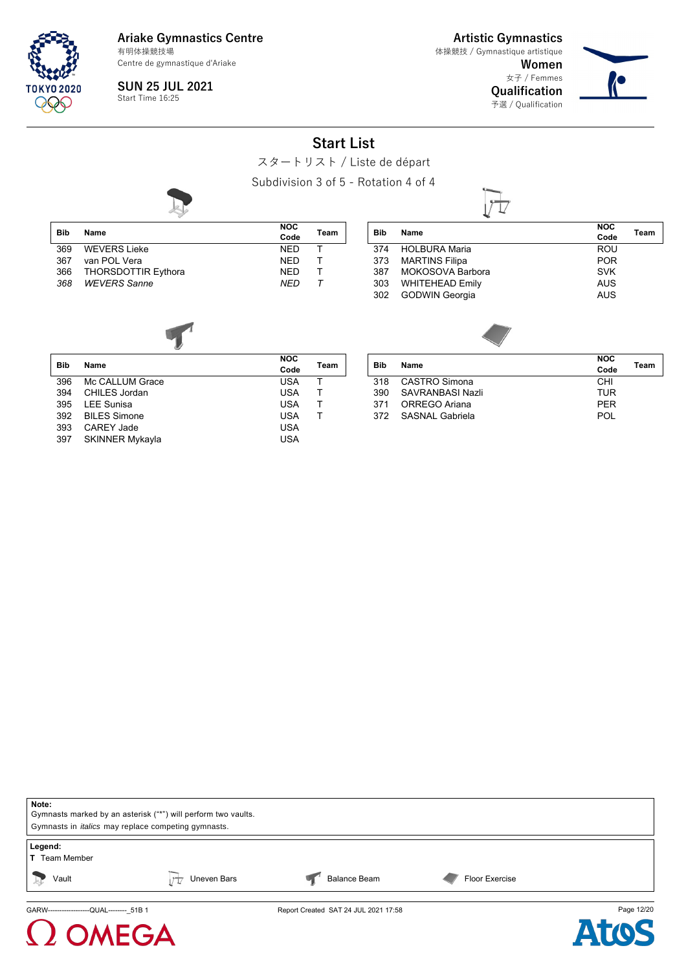

**Bib Name**

**Ariake Gymnastics Centre** Centre de gymnastique d'Ariake 有明体操競技場

**Artistic Gymnastics**

**Women** 女子 / Femmes 体操競技 / Gymnastique artistique

**Qualification** 予選 / Qualification



**SUN 25 JUL 2021** Start Time 16:25

**Start List**

スタートリスト / Liste de départ

Subdivision 3 of 5 - Rotation 4 of 4



|                     | oupuivisi      |
|---------------------|----------------|
|                     | <b>NOC</b>     |
| Name                | Code           |
| <b>WEVERS Lieke</b> | <b>NED</b>     |
| $100h$ $N$          | $\overline{N}$ |

| Bib | Name                    | Code       | Team |
|-----|-------------------------|------------|------|
|     | 369 WEVERS Lieke        | <b>NFD</b> |      |
| 367 | van POL Vera            | <b>NFD</b> |      |
|     | 366 THORSDOTTIR Eythora | NFD.       |      |
|     | 368 WEVERS Sanne        | NFD        |      |

| <b>Bib</b> | Name                  | <b>NOC</b><br>Code | Team |
|------------|-----------------------|--------------------|------|
| 374        | <b>HOLBURA Maria</b>  | <b>ROU</b>         |      |
|            | 373 MARTINS Filipa    | <b>POR</b>         |      |
|            | 387 MOKOSOVA Barbora  | <b>SVK</b>         |      |
|            | 303 WHITEHEAD Emily   | <b>AUS</b>         |      |
| 302        | <b>GODWIN Georgia</b> | <b>AUS</b>         |      |
|            |                       |                    |      |



| <b>Bib</b> | Name                   | <b>NOC</b> | Team |
|------------|------------------------|------------|------|
|            |                        | Code       |      |
| 396        | Mc CALLUM Grace        | USA        |      |
| 394        | CHILES Jordan          | <b>USA</b> |      |
| 395        | LEE Sunisa             | <b>USA</b> |      |
| 392        | <b>BILES Simone</b>    | <b>USA</b> |      |
| 393        | CARFY Jade             | USA        |      |
| 397        | <b>SKINNER Mykayla</b> | USA        |      |
|            |                        |            |      |

| <b>Bib</b> | Name                | <b>NOC</b> | Team |
|------------|---------------------|------------|------|
|            |                     | Code       |      |
| 318        | CASTRO Simona       | CHI        |      |
| 390        | SAVRANBASI Nazli    | TUR        |      |
| 371        | ORREGO Ariana       | <b>PFR</b> |      |
|            | 372 SASNAI Gabriela | POL        |      |
|            |                     |            |      |



## MEGA

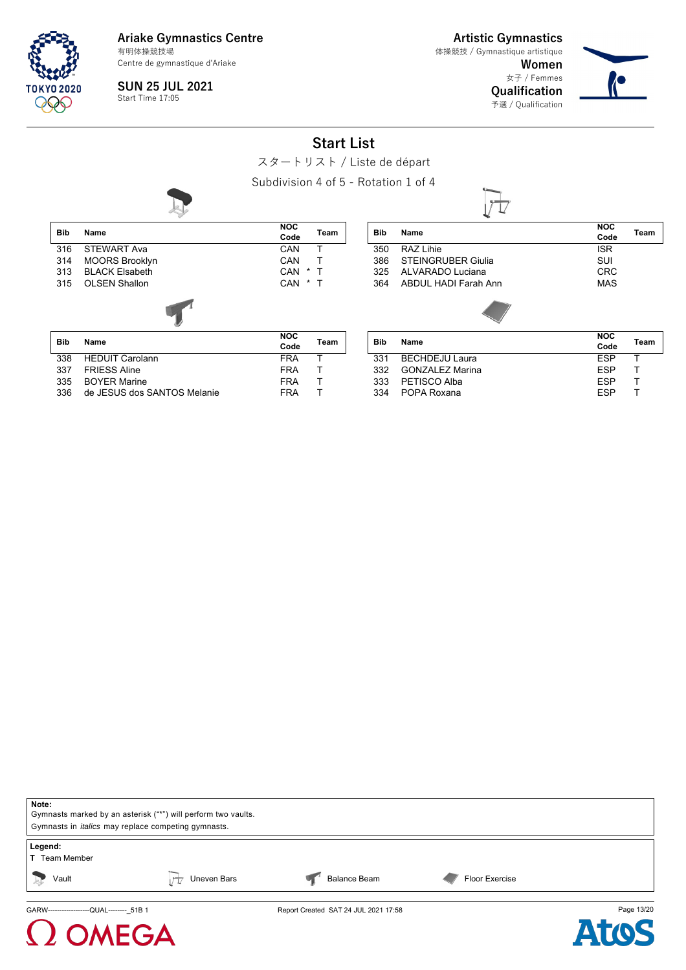

**Artistic Gymnastics** 体操競技 / Gymnastique artistique

> **Women** 女子 / Femmes **Qualification** 予選 / Qualification



**NOC**

**SUN 25 JUL 2021** Start Time 17:05

**Start List**

スタートリスト / Liste de départ

Subdivision 4 of 5 - Rotation 1 of 4



| <b>Bib</b> | Name                   | <b>NOC</b><br>Code | Team |
|------------|------------------------|--------------------|------|
| 316        | <b>STEWART Ava</b>     | CAN                | т    |
| 314        | <b>MOORS Brooklyn</b>  | CAN                | т    |
| 313        | <b>BLACK Elsabeth</b>  | *<br>CAN           |      |
| 315        | <b>OLSEN Shallon</b>   | CAN<br>*           | Т    |
|            |                        |                    |      |
| <b>Bib</b> | Name                   | <b>NOC</b><br>Code | Team |
| 338        | <b>HEDUIT Carolann</b> | <b>FRA</b>         | т    |
| 337        | <b>FRIESS Aline</b>    | <b>FRA</b>         |      |

335 BOYER Marine **FRA** T 336 de JESUS dos SANTOS Melanie FRA T

| <b>Bib</b> | Name                      | .<br>Code          | Team |
|------------|---------------------------|--------------------|------|
| 350        | RAZ Lihie                 | <b>ISR</b>         |      |
| 386        | <b>STEINGRUBER Giulia</b> | SUI                |      |
| 325        | ALVARADO Luciana          | <b>CRC</b>         |      |
| 364        | ABDUL HADI Farah Ann      | <b>MAS</b>         |      |
|            |                           |                    |      |
| <b>Bib</b> | Name                      | <b>NOC</b><br>Code | Team |
| 331        | <b>BECHDEJU Laura</b>     | ESP                |      |
| $\sim$     |                           | -^-                |      |

| 331 BECHDEJU Laura  | FSP |  |
|---------------------|-----|--|
| 332 GONZALEZ Marina | FSP |  |
| 333 PETISCO Alba    | FSP |  |
| 334 POPA Roxana     | FSP |  |
|                     |     |  |



### **NEGA**

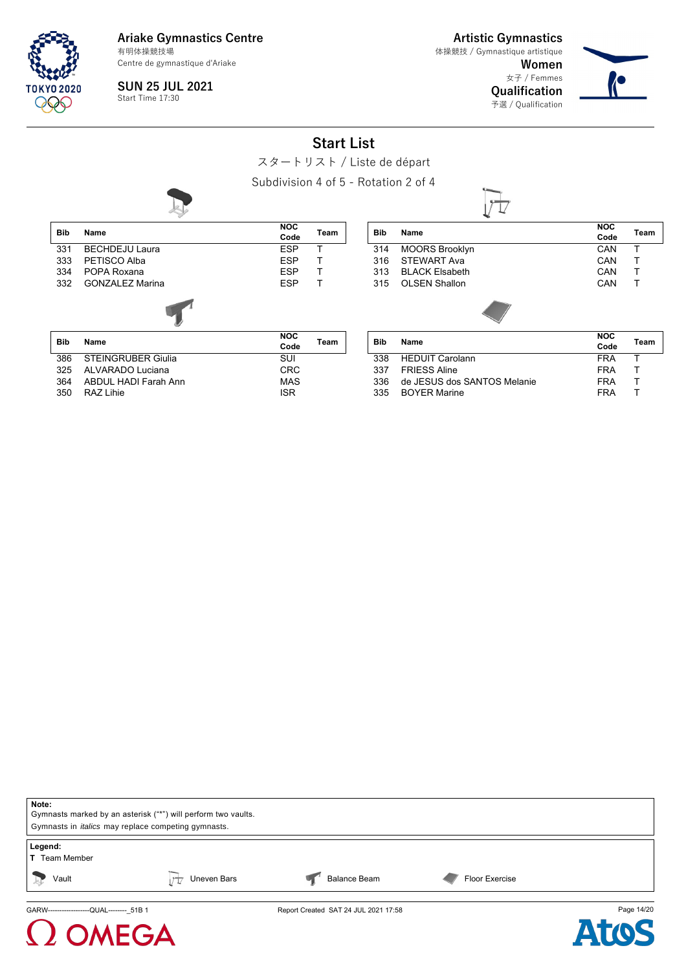

**Artistic Gymnastics** 体操競技 / Gymnastique artistique

**Women** 女子 / Femmes **Qualification**

予選 / Qualification



**SUN 25 JUL 2021** Start Time 17:30

**Start List**

スタートリスト / Liste de départ

Subdivision 4 of 5 - Rotation 2 of 4

| <b>Bib</b> | <b>Name</b>               | <b>NOC</b><br>Code | <b>Team</b> |
|------------|---------------------------|--------------------|-------------|
| 331        | <b>BECHDEJU Laura</b>     | <b>ESP</b>         |             |
| 333        | PETISCO Alba              | <b>ESP</b>         |             |
| 334        | POPA Roxana               | <b>ESP</b>         |             |
| 332        | <b>GONZALEZ Marina</b>    | <b>ESP</b>         |             |
|            |                           |                    |             |
| <b>Bib</b> | Name                      | <b>NOC</b>         | Team        |
|            |                           | Code               |             |
| 386        | <b>STEINGRUBER Giulia</b> | SUI                |             |

325 ALVARADO Luciana CRC 364 ABDUL HADI Farah Ann MAS 350 RAZ Lihie ISR

| <b>Bib</b> | Name                  | <b>NOC</b><br>Code | Team |
|------------|-----------------------|--------------------|------|
| 314        | <b>MOORS Brooklyn</b> | CAN                |      |
| 316        | STEWART Ava           | CAN                |      |
| 313        | <b>BLACK Elsabeth</b> | CAN                | т    |
| 315        | <b>OLSEN Shallon</b>  | CAN                |      |
|            |                       |                    |      |

 $\rightarrow$ 

|     |                             | <b>NOC</b> |      |
|-----|-----------------------------|------------|------|
| Bib | <b>Name</b>                 | Code       | Team |
| 338 | <b>HEDUIT Carolann</b>      | FRA        |      |
| 337 | <b>FRIFSS Aline</b>         | FRA        |      |
| 336 | de JESUS dos SANTOS Melanie | FRA        |      |
| 335 | <b>BOYER Marine</b>         | FRA        |      |



# **AEGA**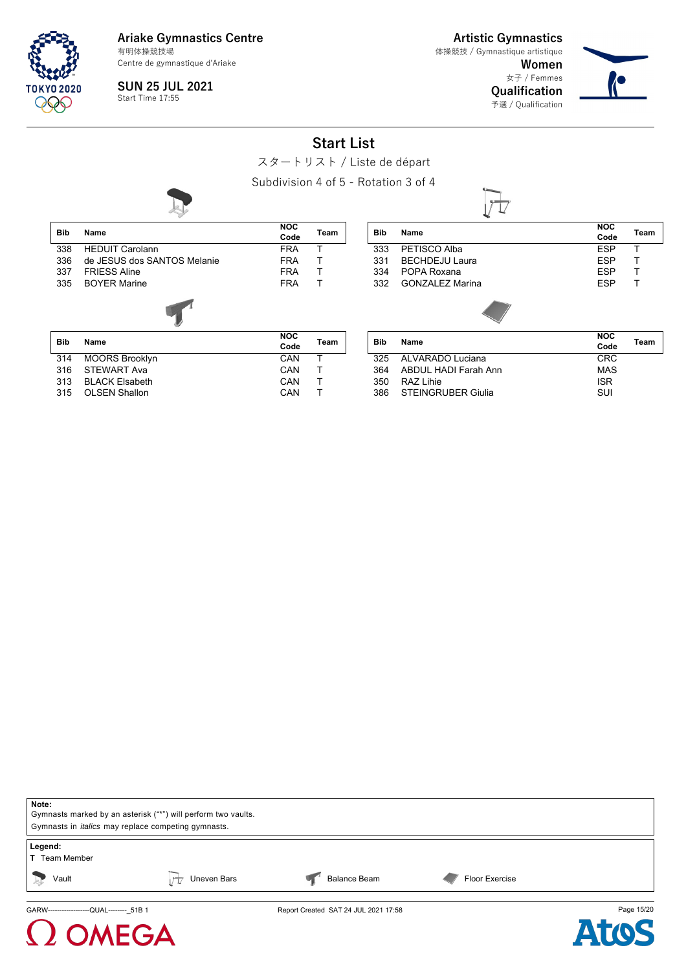

316 STEWART Ava

**Ariake Gymnastics Centre** 有明体操競技場

Centre de gymnastique d'Ariake

**SUN 25 JUL 2021** Start Time 17:55

**Artistic Gymnastics** 体操競技 / Gymnastique artistique

> **Women** 女子 / Femmes **Qualification** 予選 / Qualification



**NOC**

### **Start List**

スタートリスト / Liste de départ

Subdivision 4 of 5 - Rotation 3 of 4

| <b>Bib</b> | Name                        | <b>NOC</b><br>Code | Team |
|------------|-----------------------------|--------------------|------|
| 338        | <b>HEDUIT Carolann</b>      | <b>FRA</b>         | т    |
| 336        | de JESUS dos SANTOS Melanie | <b>FRA</b>         | т    |
| 337        | <b>FRIFSS Aline</b>         | <b>FRA</b>         | т    |
| 335        | <b>BOYER Marine</b>         | <b>FRA</b>         | Т    |
|            |                             |                    |      |
| <b>Bib</b> | Name                        | <b>NOC</b>         | Team |
|            |                             | Code               |      |
| 314        | <b>MOORS Brooklyn</b>       | CAN                | т    |
| 316        | <b>STEWART Ava</b>          | CAN                |      |

313 BLACK Elsabeth CAN T 315 OLSEN Shallon CAN T

| Bib        | Name                   | NUC<br>Code        | Team |
|------------|------------------------|--------------------|------|
| 333        | PETISCO Alba           | <b>ESP</b>         | т    |
| 331        | <b>BECHDEJU Laura</b>  | <b>ESP</b>         | т    |
| 334        | POPA Roxana            | <b>ESP</b>         | т    |
| 332        | <b>GONZALEZ Marina</b> | <b>ESP</b>         |      |
|            |                        |                    |      |
| <b>Bib</b> | Name                   | <b>NOC</b><br>Code | Team |
| 325        | ALVARADO Luciana       | CRC                |      |

|     | 325 ALVARADO Luciana   | CRC.       |  |
|-----|------------------------|------------|--|
| 364 | ABDUL HADI Farah Ann   | MAS        |  |
| 350 | RA7 I ihie             | <b>ISR</b> |  |
|     | 386 STEINGRUBER Giulia | <b>SUI</b> |  |
|     |                        |            |  |

| Note:                                                      |                                                               |                                      |                |            |  |  |  |  |
|------------------------------------------------------------|---------------------------------------------------------------|--------------------------------------|----------------|------------|--|--|--|--|
|                                                            | Gymnasts marked by an asterisk ("*") will perform two vaults. |                                      |                |            |  |  |  |  |
| Gymnasts in <i>italics</i> may replace competing gymnasts. |                                                               |                                      |                |            |  |  |  |  |
| Legend:                                                    |                                                               |                                      |                |            |  |  |  |  |
| <b>T</b> Team Member                                       |                                                               |                                      |                |            |  |  |  |  |
|                                                            |                                                               |                                      |                |            |  |  |  |  |
| Vault<br>$\Rightarrow$                                     | Uneven Bars                                                   | <b>Balance Beam</b>                  | Floor Exercise |            |  |  |  |  |
|                                                            |                                                               |                                      |                |            |  |  |  |  |
| GARW-------------------QUAL-------- 51B 1                  |                                                               | Report Created SAT 24 JUL 2021 17:58 |                | Page 15/20 |  |  |  |  |

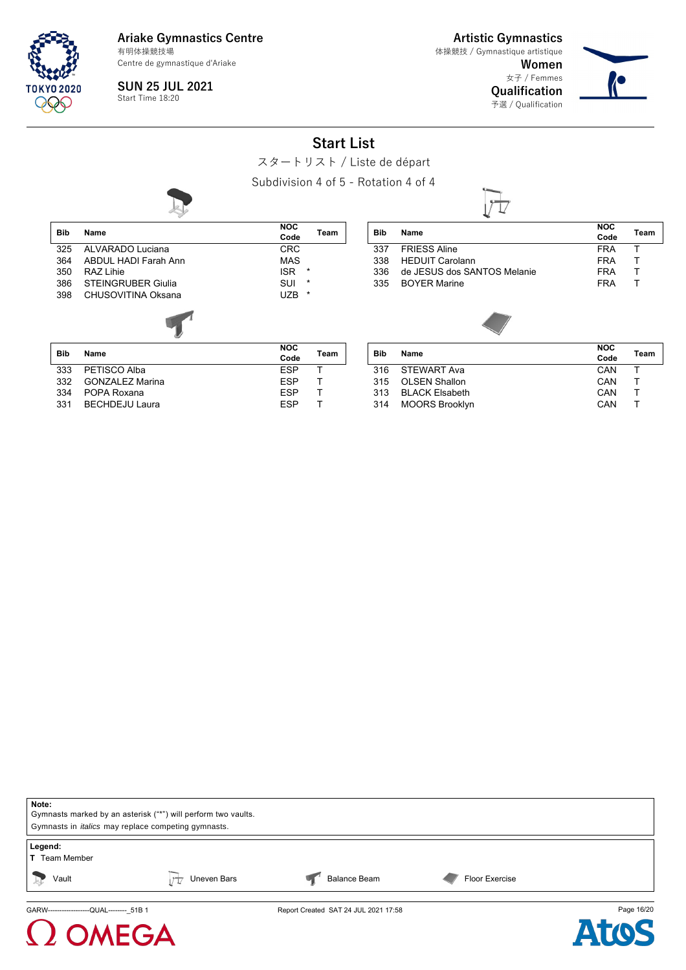

 $\Omega$  OMEGA

**Ariake Gymnastics Centre** Centre de gymnastique d'Ariake 有明体操競技場

**Artistic Gymnastics** 体操競技 / Gymnastique artistique

> **Women** 女子 / Femmes **Qualification**

> > 予選 / Qualification



**SUN 25 JUL 2021** Start Time 18:20

**Start List**

スタートリスト / Liste de départ

Subdivision 4 of 5 - Rotation 4 of 4



| Note:<br>Gymnasts marked by an asterisk ("*") will perform two vaults.<br>Gymnasts in <i>italics</i> may replace competing gymnasts. |             |                                      |                |            |
|--------------------------------------------------------------------------------------------------------------------------------------|-------------|--------------------------------------|----------------|------------|
| Legend:<br><b>T</b> Team Member                                                                                                      |             |                                      |                |            |
| Vault<br>$\frac{1}{2}$                                                                                                               | Uneven Bars | <b>Balance Beam</b>                  | Floor Exercise |            |
| GARW-------------------QUAL-------- 51B 1                                                                                            |             | Report Created SAT 24 JUL 2021 17:58 |                | Page 16/20 |

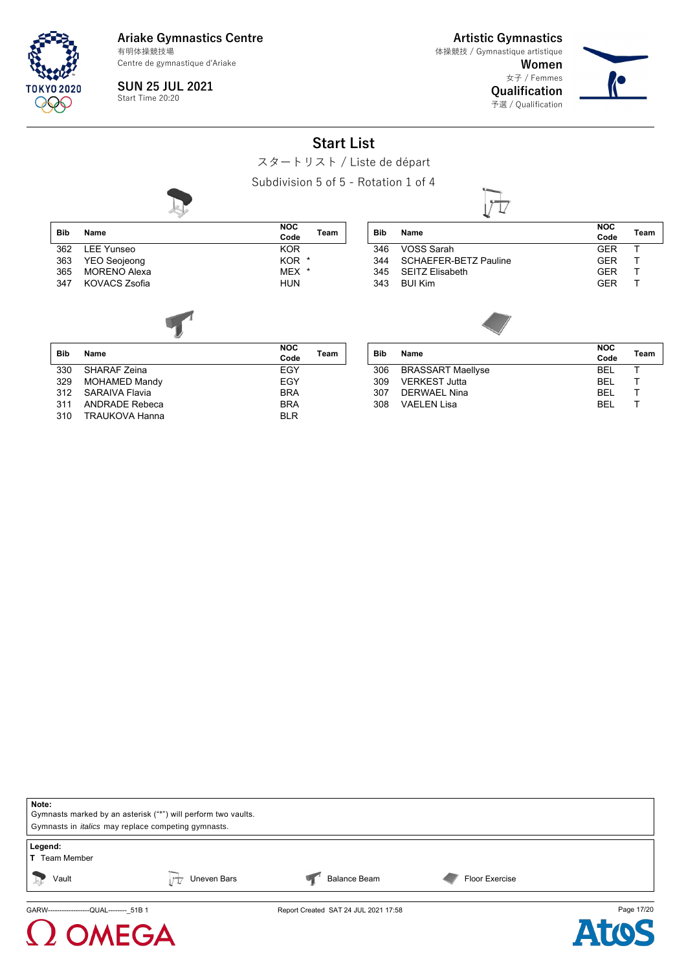

 $\Omega$  OMEGA

**Ariake Gymnastics Centre** 有明体操競技場

Centre de gymnastique d'Ariake

**SUN 25 JUL 2021** Start Time 20:20

**Artistic Gymnastics** 体操競技 / Gymnastique artistique

> **Women** 女子 / Femmes **Qualification** 予選 / Qualification



#### **Start List**

スタートリスト / Liste de départ

Subdivision 5 of 5 - Rotation 1 of 4

**NOC**



| <b>Bib</b> | Name                  | NOC<br>Code        | Team    |
|------------|-----------------------|--------------------|---------|
| 362        | <b>LEE Yunseo</b>     | <b>KOR</b>         |         |
| 363        | <b>YEO Seojeong</b>   | KOR.               | *       |
| 365        | <b>MORENO Alexa</b>   | MEX                | $^\ast$ |
| 347        | <b>KOVACS Zsofia</b>  | <b>HUN</b>         |         |
|            |                       |                    |         |
| <b>Bib</b> | Name                  | <b>NOC</b><br>Code | Team    |
| 330        | <b>SHARAF Zeina</b>   | <b>EGY</b>         |         |
| 329        | <b>MOHAMED Mandy</b>  | EGY                |         |
| 312        | <b>SARAIVA Flavia</b> | <b>BRA</b>         |         |
| 311        | <b>ANDRADE Rebeca</b> | <b>BRA</b>         |         |
| 310        | <b>TRAUKOVA Hanna</b> | BLR                |         |

|            |                       | <b>NOC</b> |      |
|------------|-----------------------|------------|------|
| <b>Bib</b> | Name                  | Code       | Team |
| 346        | VOSS Sarah            | <b>GFR</b> |      |
| 344        | SCHAEFER-BETZ Pauline | GFR        |      |
| 345        | SEITZ Elisabeth       | <b>GFR</b> |      |
| 343        | <b>BUIKim</b>         | <b>GFR</b> |      |
|            |                       |            |      |
|            |                       |            |      |

| Bib |                          | <b>NOC</b> |      |
|-----|--------------------------|------------|------|
|     | Name                     | Code       | Team |
| 306 | <b>BRASSART Maellyse</b> | <b>BFI</b> |      |
| 309 | <b>VERKEST Jutta</b>     | <b>BFI</b> |      |
| 307 | DERWAFI Nina             | BEL.       |      |
| 308 | VAFI FN Lisa             | <b>BFI</b> |      |
|     |                          |            |      |

| Note:<br>Gymnasts marked by an asterisk ("*") will perform two vaults.<br>Gymnasts in <i>italics</i> may replace competing gymnasts. |             |                                      |                       |            |
|--------------------------------------------------------------------------------------------------------------------------------------|-------------|--------------------------------------|-----------------------|------------|
| Legend:<br><b>T</b> Team Member                                                                                                      |             |                                      |                       |            |
| Vault                                                                                                                                | Uneven Bars | <b>Balance Beam</b>                  | <b>Floor Exercise</b> |            |
| GARW------------------QUAL-------- 51B 1                                                                                             |             | Report Created SAT 24 JUL 2021 17:58 |                       | Page 17/20 |

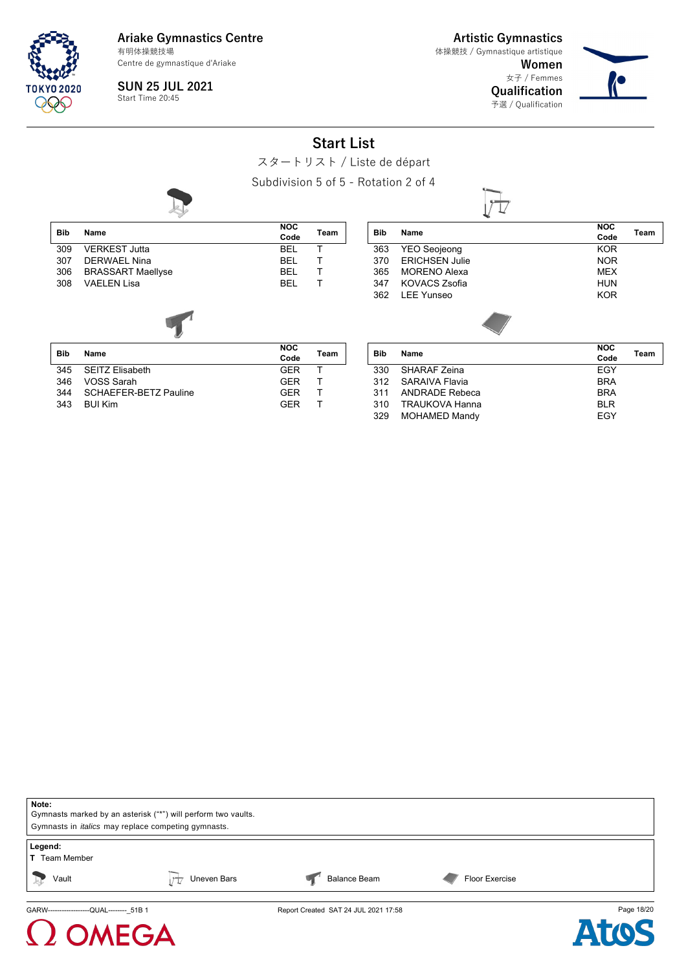

**Artistic Gymnastics** 体操競技 / Gymnastique artistique

**Women** 女子 / Femmes

> **Qualification** 予選 / Qualification



**SUN 25 JUL 2021** Start Time 20:45

**Start List**

スタートリスト / Liste de départ

Subdivision 5 of 5 - Rotation 2 of 4



| Note:                                                      |                                                               |                                       |                |            |
|------------------------------------------------------------|---------------------------------------------------------------|---------------------------------------|----------------|------------|
|                                                            | Gymnasts marked by an asterisk ("*") will perform two vaults. |                                       |                |            |
| Gymnasts in <i>italics</i> may replace competing gymnasts. |                                                               |                                       |                |            |
| Legend:<br><b>T</b> Team Member                            |                                                               |                                       |                |            |
| Vault<br>$\frac{1}{2}$                                     | Uneven Bars                                                   | <b>Balance Beam</b>                   | Floor Exercise |            |
|                                                            |                                                               | Report Created SAT 24 ILIL 2021 17:58 |                | Page 18/20 |



ted SAT 24 JUL 2021 17:58

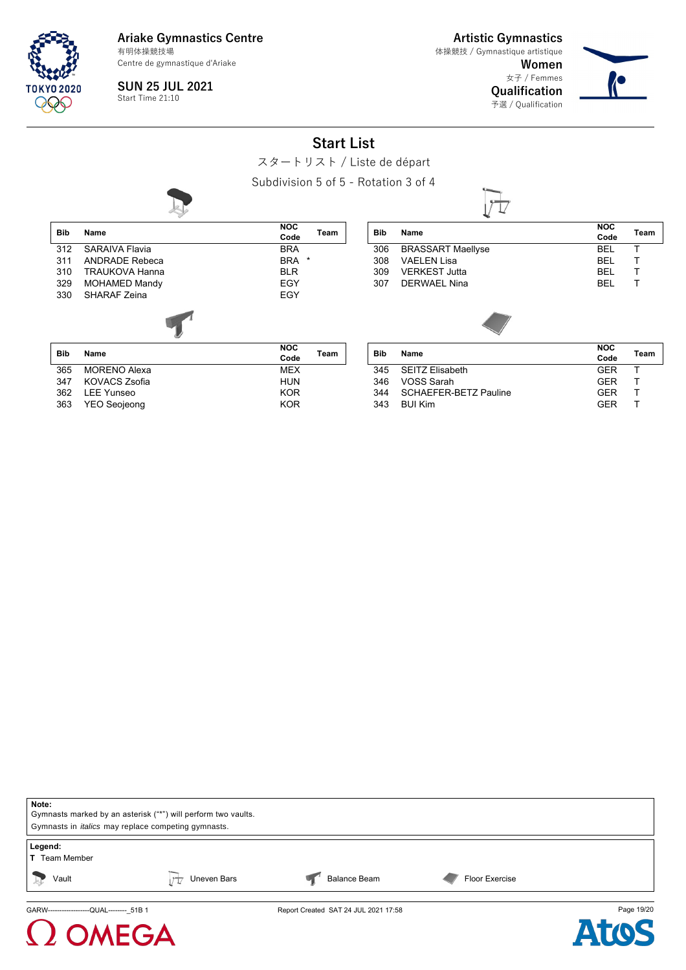TNKYN 2020

**Ariake Gymnastics Centre** Centre de gymnastique d'Ariake 有明体操競技場

**Artistic Gymnastics** 体操競技 / Gymnastique artistique

> **Women** 女子 / Femmes **Qualification** 予選 / Qualification



**SUN 25 JUL 2021** Start Time 21:10

**OMEGA** 

**Start List**

スタートリスト / Liste de départ

Subdivision 5 of 5 - Rotation 3 of 4



| Note:                                                         |             |                                      |                |            |
|---------------------------------------------------------------|-------------|--------------------------------------|----------------|------------|
| Gymnasts marked by an asterisk ("*") will perform two vaults. |             |                                      |                |            |
| Gymnasts in <i>italics</i> may replace competing gymnasts.    |             |                                      |                |            |
| Legend:<br><b>T</b> Team Member                               |             |                                      |                |            |
| Vault                                                         | Uneven Bars | <b>Balance Beam</b>                  | Floor Exercise |            |
| GARW-------------------QUAL-------- 51B 1                     |             | Report Created SAT 24 JUL 2021 17:58 |                | Page 19/20 |